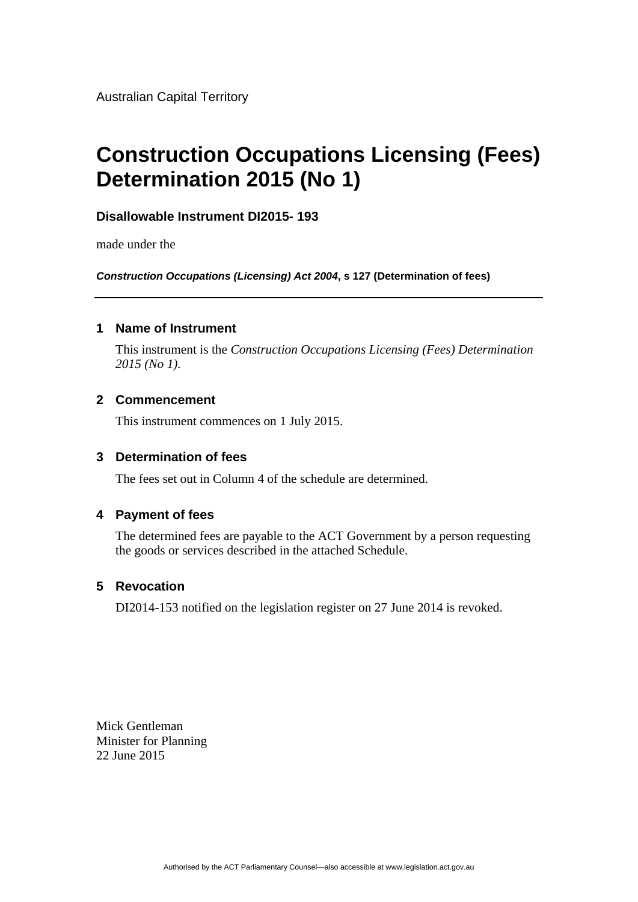Australian Capital Territory

# **Construction Occupations Licensing (Fees) Determination 2015 (No 1)**

## **Disallowable Instrument DI2015- 193**

made under the

*Construction Occupations (Licensing) Act 2004***, s 127 (Determination of fees)** 

#### **1 Name of Instrument**

This instrument is the *Construction Occupations Licensing (Fees) Determination 2015 (No 1).* 

#### **2 Commencement**

This instrument commences on 1 July 2015.

#### **3 Determination of fees**

The fees set out in Column 4 of the schedule are determined.

#### **4 Payment of fees**

The determined fees are payable to the ACT Government by a person requesting the goods or services described in the attached Schedule.

### **5 Revocation**

DI2014-153 notified on the legislation register on 27 June 2014 is revoked.

Mick Gentleman Minister for Planning 22 June 2015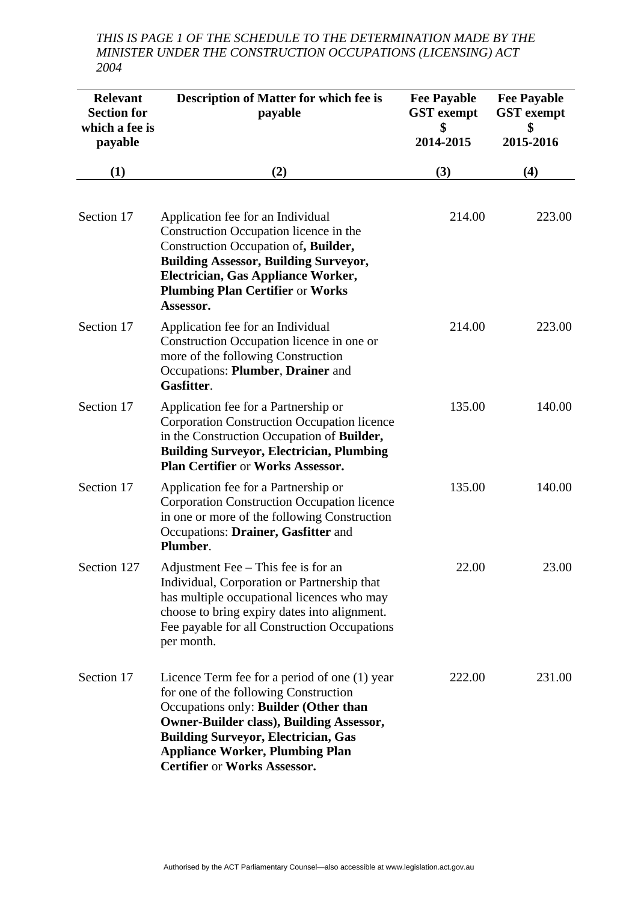*THIS IS PAGE 1 OF THE SCHEDULE TO THE DETERMINATION MADE BY THE MINISTER UNDER THE CONSTRUCTION OCCUPATIONS (LICENSING) ACT 2004* 

| <b>Relevant</b><br><b>Section for</b><br>which a fee is<br>payable | <b>Description of Matter for which fee is</b><br>payable                                                                                                                                                                                                                                                          | <b>Fee Payable</b><br><b>GST</b> exempt<br>\$<br>2014-2015 | <b>Fee Payable</b><br><b>GST</b> exempt<br>\$<br>2015-2016 |
|--------------------------------------------------------------------|-------------------------------------------------------------------------------------------------------------------------------------------------------------------------------------------------------------------------------------------------------------------------------------------------------------------|------------------------------------------------------------|------------------------------------------------------------|
| (1)                                                                | (2)                                                                                                                                                                                                                                                                                                               | (3)                                                        | (4)                                                        |
| Section 17                                                         | Application fee for an Individual<br>Construction Occupation licence in the<br>Construction Occupation of, Builder,<br><b>Building Assessor, Building Surveyor,</b><br>Electrician, Gas Appliance Worker,<br><b>Plumbing Plan Certifier or Works</b><br>Assessor.                                                 | 214.00                                                     | 223.00                                                     |
| Section 17                                                         | Application fee for an Individual<br>Construction Occupation licence in one or<br>more of the following Construction<br>Occupations: Plumber, Drainer and<br>Gasfitter.                                                                                                                                           | 214.00                                                     | 223.00                                                     |
| Section 17                                                         | Application fee for a Partnership or<br><b>Corporation Construction Occupation licence</b><br>in the Construction Occupation of Builder,<br><b>Building Surveyor, Electrician, Plumbing</b><br><b>Plan Certifier or Works Assessor.</b>                                                                           | 135.00                                                     | 140.00                                                     |
| Section 17                                                         | Application fee for a Partnership or<br><b>Corporation Construction Occupation licence</b><br>in one or more of the following Construction<br>Occupations: Drainer, Gasfitter and<br>Plumber.                                                                                                                     | 135.00                                                     | 140.00                                                     |
| Section 127                                                        | Adjustment Fee – This fee is for an<br>Individual, Corporation or Partnership that<br>has multiple occupational licences who may<br>choose to bring expiry dates into alignment.<br>Fee payable for all Construction Occupations<br>per month.                                                                    | 22.00                                                      | 23.00                                                      |
| Section 17                                                         | Licence Term fee for a period of one (1) year<br>for one of the following Construction<br>Occupations only: Builder (Other than<br><b>Owner-Builder class), Building Assessor,</b><br><b>Building Surveyor, Electrician, Gas</b><br><b>Appliance Worker, Plumbing Plan</b><br><b>Certifier or Works Assessor.</b> | 222.00                                                     | 231.00                                                     |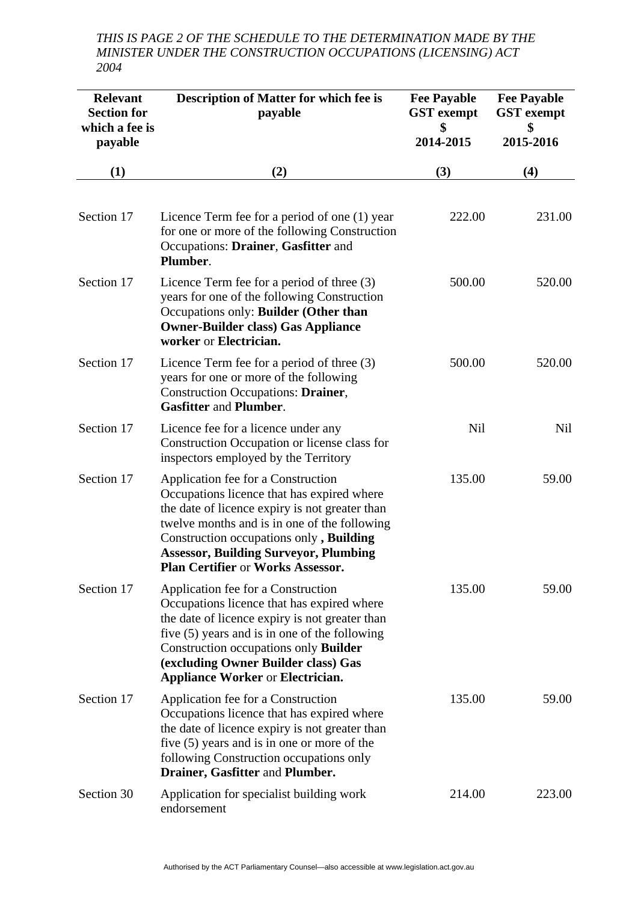*THIS IS PAGE 2 OF THE SCHEDULE TO THE DETERMINATION MADE BY THE MINISTER UNDER THE CONSTRUCTION OCCUPATIONS (LICENSING) ACT 2004* 

| <b>Relevant</b><br><b>Section for</b><br>which a fee is<br>payable | <b>Description of Matter for which fee is</b><br>payable                                                                                                                                                                                                                                                           | <b>Fee Payable</b><br><b>GST</b> exempt<br>\$<br>2014-2015 | <b>Fee Payable</b><br><b>GST</b> exempt<br>\$<br>2015-2016 |
|--------------------------------------------------------------------|--------------------------------------------------------------------------------------------------------------------------------------------------------------------------------------------------------------------------------------------------------------------------------------------------------------------|------------------------------------------------------------|------------------------------------------------------------|
| (1)                                                                | (2)                                                                                                                                                                                                                                                                                                                | (3)                                                        | (4)                                                        |
| Section 17                                                         | Licence Term fee for a period of one (1) year<br>for one or more of the following Construction<br>Occupations: Drainer, Gasfitter and<br>Plumber.                                                                                                                                                                  | 222.00                                                     | 231.00                                                     |
| Section 17                                                         | Licence Term fee for a period of three $(3)$<br>years for one of the following Construction<br>Occupations only: Builder (Other than<br><b>Owner-Builder class) Gas Appliance</b><br>worker or Electrician.                                                                                                        | 500.00                                                     | 520.00                                                     |
| Section 17                                                         | Licence Term fee for a period of three $(3)$<br>years for one or more of the following<br><b>Construction Occupations: Drainer,</b><br><b>Gasfitter and Plumber.</b>                                                                                                                                               | 500.00                                                     | 520.00                                                     |
| Section 17                                                         | Licence fee for a licence under any<br>Construction Occupation or license class for<br>inspectors employed by the Territory                                                                                                                                                                                        | Nil                                                        | Nil                                                        |
| Section 17                                                         | Application fee for a Construction<br>Occupations licence that has expired where<br>the date of licence expiry is not greater than<br>twelve months and is in one of the following<br>Construction occupations only, Building<br><b>Assessor, Building Surveyor, Plumbing</b><br>Plan Certifier or Works Assessor. | 135.00                                                     | 59.00                                                      |
| Section 17                                                         | Application fee for a Construction<br>Occupations licence that has expired where<br>the date of licence expiry is not greater than<br>five $(5)$ years and is in one of the following<br>Construction occupations only Builder<br>(excluding Owner Builder class) Gas<br><b>Appliance Worker or Electrician.</b>   | 135.00                                                     | 59.00                                                      |
| Section 17                                                         | Application fee for a Construction<br>Occupations licence that has expired where<br>the date of licence expiry is not greater than<br>five (5) years and is in one or more of the<br>following Construction occupations only<br>Drainer, Gasfitter and Plumber.                                                    | 135.00                                                     | 59.00                                                      |
| Section 30                                                         | Application for specialist building work<br>endorsement                                                                                                                                                                                                                                                            | 214.00                                                     | 223.00                                                     |